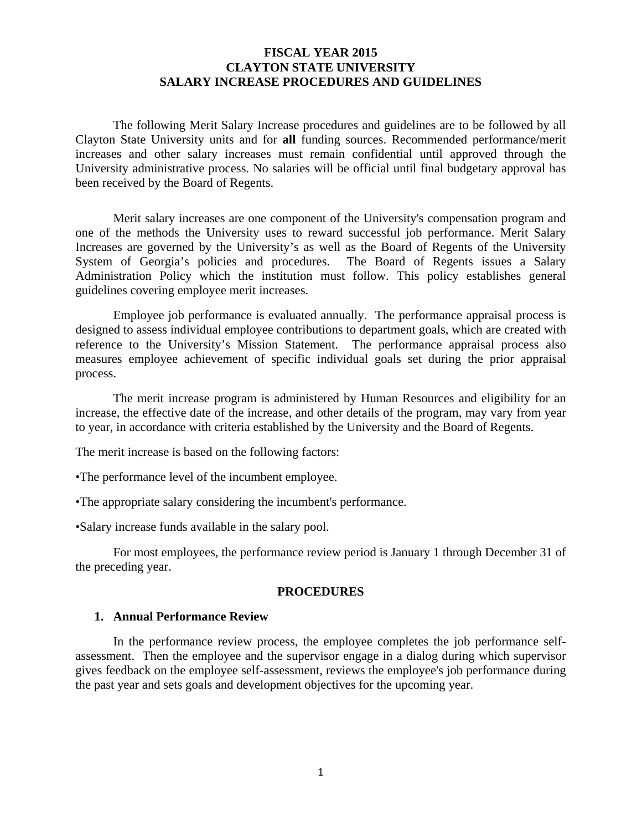# **FISCAL YEAR 2015 CLAYTON STATE UNIVERSITY SALARY INCREASE PROCEDURES AND GUIDELINES**

The following Merit Salary Increase procedures and guidelines are to be followed by all Clayton State University units and for **all** funding sources. Recommended performance/merit increases and other salary increases must remain confidential until approved through the University administrative process. No salaries will be official until final budgetary approval has been received by the Board of Regents.

Merit salary increases are one component of the University's compensation program and one of the methods the University uses to reward successful job performance. Merit Salary Increases are governed by the University's as well as the Board of Regents of the University System of Georgia's policies and procedures. The Board of Regents issues a Salary Administration Policy which the institution must follow. This policy establishes general guidelines covering employee merit increases.

Employee job performance is evaluated annually. The performance appraisal process is designed to assess individual employee contributions to department goals, which are created with reference to the University's Mission Statement. The performance appraisal process also measures employee achievement of specific individual goals set during the prior appraisal process.

The merit increase program is administered by Human Resources and eligibility for an increase, the effective date of the increase, and other details of the program, may vary from year to year, in accordance with criteria established by the University and the Board of Regents.

The merit increase is based on the following factors:

•The performance level of the incumbent employee.

•The appropriate salary considering the incumbent's performance.

•Salary increase funds available in the salary pool.

For most employees, the performance review period is January 1 through December 31 of the preceding year.

#### **PROCEDURES**

#### **1. Annual Performance Review**

In the performance review process, the employee completes the job performance selfassessment. Then the employee and the supervisor engage in a dialog during which supervisor gives feedback on the employee self-assessment, reviews the employee's job performance during the past year and sets goals and development objectives for the upcoming year.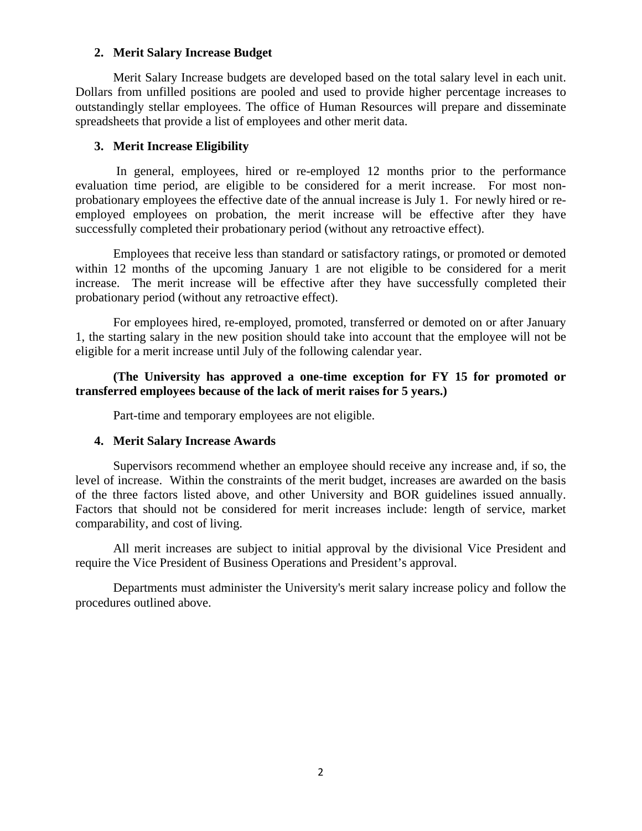### **2. Merit Salary Increase Budget**

Merit Salary Increase budgets are developed based on the total salary level in each unit. Dollars from unfilled positions are pooled and used to provide higher percentage increases to outstandingly stellar employees. The office of Human Resources will prepare and disseminate spreadsheets that provide a list of employees and other merit data.

### **3. Merit Increase Eligibility**

 In general, employees, hired or re-employed 12 months prior to the performance evaluation time period, are eligible to be considered for a merit increase. For most nonprobationary employees the effective date of the annual increase is July 1. For newly hired or reemployed employees on probation, the merit increase will be effective after they have successfully completed their probationary period (without any retroactive effect).

Employees that receive less than standard or satisfactory ratings, or promoted or demoted within 12 months of the upcoming January 1 are not eligible to be considered for a merit increase. The merit increase will be effective after they have successfully completed their probationary period (without any retroactive effect).

For employees hired, re-employed, promoted, transferred or demoted on or after January 1, the starting salary in the new position should take into account that the employee will not be eligible for a merit increase until July of the following calendar year.

# **(The University has approved a one-time exception for FY 15 for promoted or transferred employees because of the lack of merit raises for 5 years.)**

Part-time and temporary employees are not eligible.

# **4. Merit Salary Increase Awards**

Supervisors recommend whether an employee should receive any increase and, if so, the level of increase. Within the constraints of the merit budget, increases are awarded on the basis of the three factors listed above, and other University and BOR guidelines issued annually. Factors that should not be considered for merit increases include: length of service, market comparability, and cost of living.

All merit increases are subject to initial approval by the divisional Vice President and require the Vice President of Business Operations and President's approval.

Departments must administer the University's merit salary increase policy and follow the procedures outlined above.